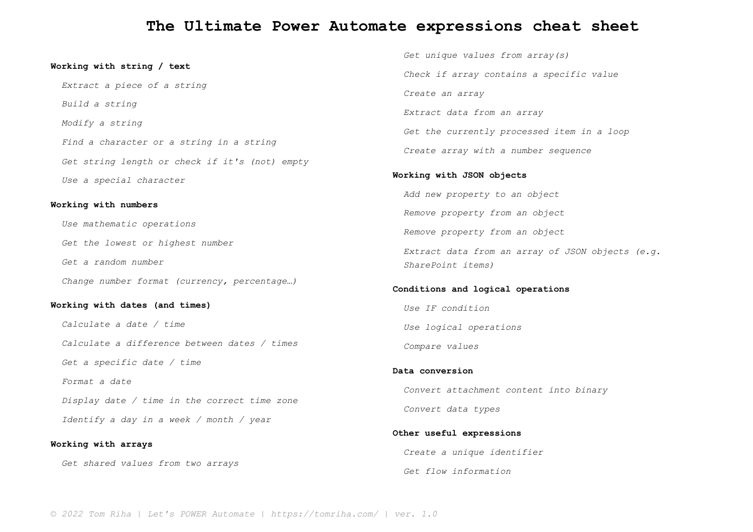## **The Ultimate Power Automate expressions cheat sheet**

### <span id="page-0-0"></span>**[Working](#page-1-0) with string / text**

<span id="page-0-7"></span><span id="page-0-6"></span><span id="page-0-3"></span>*[Extract](#page-1-1) a piece of a string Build a [string](#page-0-0) [Modify](#page-0-1) a string Find a [character](#page-0-0) or a string in a string Get [string](#page-0-0) length or check if it's (not) empty Use a special [character](#page-0-2)*

#### <span id="page-0-17"></span><span id="page-0-16"></span><span id="page-0-13"></span><span id="page-0-11"></span><span id="page-0-9"></span><span id="page-0-5"></span>**[Working](#page-0-0) with numbers**

<span id="page-0-12"></span><span id="page-0-8"></span><span id="page-0-1"></span>*Use [mathematic](#page-0-3) operations Get the lowest or [highest](#page-0-4) number Get a random [number](#page-0-0)*

<span id="page-0-15"></span><span id="page-0-14"></span>*Change number format (currency, percentage...)* 

#### <span id="page-0-10"></span><span id="page-0-4"></span><span id="page-0-2"></span>**[Working](#page-0-0) with dates (and times)**

*[Calculate](#page-0-6) a date / time Calculate a [difference](#page-0-7) between dates / times Get a [specific](#page-0-0) date / time [Format](#page-0-0) a date Display date / time in the [correct](#page-0-0) time zone [Identify](#page-0-8) a day in a week / month / year*

**[Working](#page-0-0) with arrays** *Get shared values from two [arrays](#page-0-3)*

*Get unique values from [array\(s\)](#page-0-9) Check if array contains a [specific](#page-0-10) value [Create](#page-0-0) an array [Extract](#page-0-11) data from an array Get the currently [processed](#page-0-0) item in a loop Create array with a number [sequence](#page-0-12)* **[Working](#page-0-0) with JSON objects** *Add new [property](#page-0-6) to an object Remove [property](#page-0-13) from an object*

*Remove [property](#page-0-14) from an object [Extract](#page-0-0) data from an array of JSON objects (e.g. [SharePoint](#page-0-0) items)*

### **[Conditions](#page-0-0) and logical operations**

*Use IF [condition](#page-0-6) Use logical [operations](#page-0-15) [Compare](#page-0-0) values*

**Data [conversion](#page-0-0)** *Convert [attachment](#page-0-6) content into binary [Convert](#page-0-16) data types*

**Other useful [expressions](#page-0-0)** *Create a unique [identifier](#page-0-6) Get flow [information](#page-0-17)*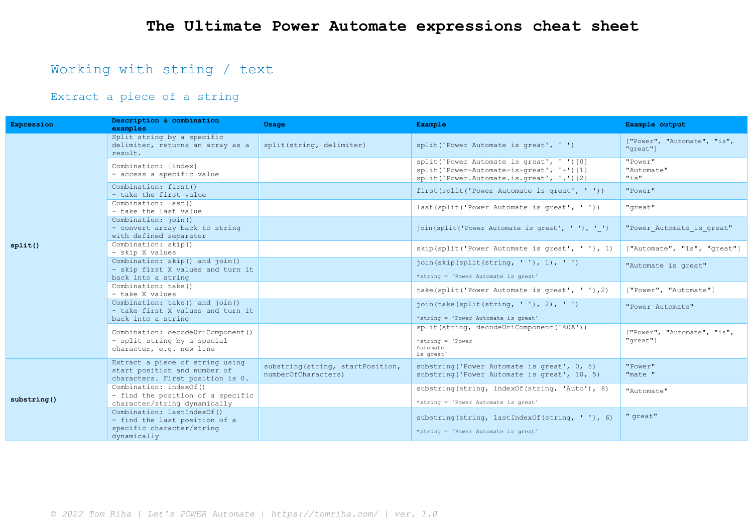# <span id="page-1-0"></span>Working with string / text

## <span id="page-1-1"></span>Extract a piece of a string

| Expression  | Description & combination<br>examples                                                                   | Usage                                                    | Example                                                                                                                                 | Example output                          |
|-------------|---------------------------------------------------------------------------------------------------------|----------------------------------------------------------|-----------------------------------------------------------------------------------------------------------------------------------------|-----------------------------------------|
| split()     | Split string by a specific<br>delimiter, returns an array as a<br>result.                               | split(string, delimiter)                                 | split ('Power Automate is great', ' ')                                                                                                  | ["Power", "Automate", "is",<br>"great"] |
|             | Combination: [index]<br>- access a specific value                                                       |                                                          | split('Power Automate is great', ' ')[0]<br>split('Power-Automate-is-great', '-')[1]<br>split('Power.Automate.is.great', '.')[2]        | "Power"<br>"Automate"<br>"is"           |
|             | Combination: first()<br>- take the first value                                                          |                                                          | first(split('Power Automate is great', ''))                                                                                             | "Power"                                 |
|             | Combination: last()<br>- take the last value                                                            |                                                          | last(split('Power Automate is great', ''))                                                                                              | "great"                                 |
|             | Combination: join ()<br>- convert array back to string<br>with defined separator                        |                                                          | join(split('Power Automate is great', ''), '')                                                                                          | "Power Automate is great"               |
|             | Combination: skip()<br>- skip X values                                                                  |                                                          | skip(split('Power Automate is great', ''), 1)                                                                                           | ["Automate", "is", "great"]             |
|             | Combination: skip() and join()<br>- skip first X values and turn it<br>back into a string               |                                                          | $\overline{\text{join}}(\text{skip}(\text{split}(\text{string}, \text{ ' ')} , 1), \text{ ' ')}$<br>*string = 'Power Automate is great' | "Automate is great"                     |
|             | Combination: take()<br>- take X values                                                                  |                                                          | take(split('Power Automate is great', ''), 2)                                                                                           | ["Power", "Automate"]                   |
|             | Combination: take () and join ()<br>- take first X values and turn it<br>back into a string             |                                                          | $\overline{\text{join}}(\text{take}(\text{split}(\text{string}, ''), 2), '')$<br>*string = 'Power Automate is great'                    | "Power Automate"                        |
|             | Combination: decodeUriComponent()<br>- split string by a special<br>character, e.g. new line            |                                                          | split(string, decodeUriComponent('%0A'))<br>$*string = 'Power$<br>Automate<br>is great'                                                 | ["Power", "Automate", "is",<br>"great"] |
| substring() | Extract a piece of string using<br>start position and number of<br>characters. First position is 0.     | substring (string, startPosition,<br>numberOfCharacters) | substring ('Power Automate is great', 0, 5)<br>substring ('Power Automate is great', 10, 5)                                             | "Power"<br>"mate "                      |
|             | Combination: indexOf()<br>- find the position of a specific<br>character/string dynamically             |                                                          | substring(string, indexOf(string, 'Auto'), 8)<br>*string = 'Power Automate is great'                                                    | "Automate"                              |
|             | Combination: lastIndexOf()<br>- find the last position of a<br>specific character/string<br>dynamically |                                                          | substring(string, lastIndexOf(string, ''), 6)<br>*string = 'Power Automate is great'                                                    | " great"                                |